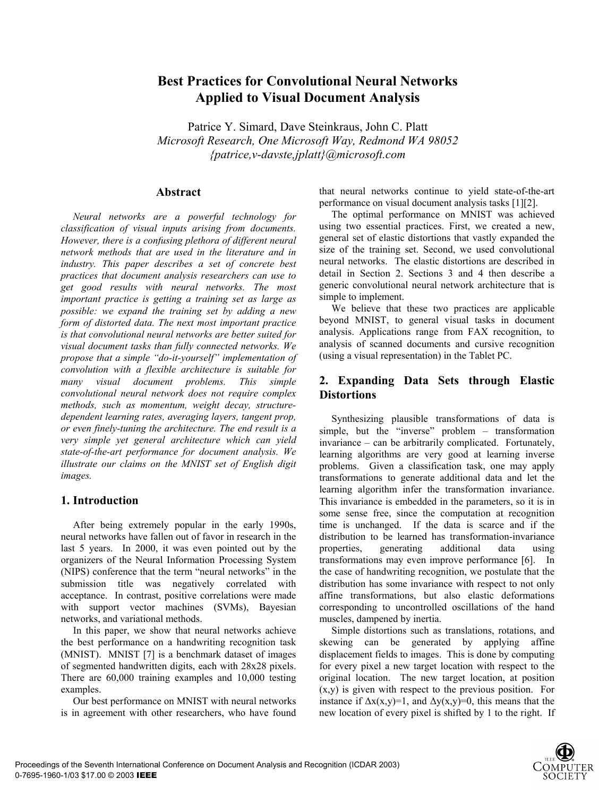# **Best Practices for Convolutional Neural Networks Applied to Visual Document Analysis**

Patrice Y. Simard, Dave Steinkraus, John C. Platt *Microsoft Research, One Microsoft Way, Redmond WA 98052 {patrice,v-davste,jplatt}@microsoft.com*

#### **Abstract**

 *Neural networks are a powerful technology for classification of visual inputs arising from documents. However, there is a confusing plethora of different neural network methods that are used in the literature and in industry. This paper describes a set of concrete best practices that document analysis researchers can use to get good results with neural networks. The most important practice is getting a training set as large as possible: we expand the training set by adding a new form of distorted data. The next most important practice is that convolutional neural networks are better suited for visual document tasks than fully connected networks. We propose that a simple "do-it-yourself" implementation of convolution with a flexible architecture is suitable for many visual document problems. This simple convolutional neural network does not require complex methods, such as momentum, weight decay, structuredependent learning rates, averaging layers, tangent prop, or even finely-tuning the architecture. The end result is a very simple yet general architecture which can yield state-of-the-art performance for document analysis. We illustrate our claims on the MNIST set of English digit images.* 

#### **1. Introduction**

After being extremely popular in the early 1990s, neural networks have fallen out of favor in research in the last 5 years. In 2000, it was even pointed out by the organizers of the Neural Information Processing System (NIPS) conference that the term "neural networks" in the submission title was negatively correlated with acceptance. In contrast, positive correlations were made with support vector machines (SVMs), Bayesian networks, and variational methods.

In this paper, we show that neural networks achieve the best performance on a handwriting recognition task (MNIST). MNIST [7] is a benchmark dataset of images of segmented handwritten digits, each with 28x28 pixels. There are 60,000 training examples and 10,000 testing examples.

Our best performance on MNIST with neural networks is in agreement with other researchers, who have found

that neural networks continue to yield state-of-the-art performance on visual document analysis tasks [1][2].

The optimal performance on MNIST was achieved using two essential practices. First, we created a new, general set of elastic distortions that vastly expanded the size of the training set. Second, we used convolutional neural networks. The elastic distortions are described in detail in Section 2. Sections 3 and 4 then describe a generic convolutional neural network architecture that is simple to implement.

We believe that these two practices are applicable beyond MNIST, to general visual tasks in document analysis. Applications range from FAX recognition, to analysis of scanned documents and cursive recognition (using a visual representation) in the Tablet PC.

### **2. Expanding Data Sets through Elastic Distortions**

Synthesizing plausible transformations of data is simple, but the "inverse" problem – transformation invariance – can be arbitrarily complicated. Fortunately, learning algorithms are very good at learning inverse problems. Given a classification task, one may apply transformations to generate additional data and let the learning algorithm infer the transformation invariance. This invariance is embedded in the parameters, so it is in some sense free, since the computation at recognition time is unchanged. If the data is scarce and if the distribution to be learned has transformation-invariance properties, generating additional data using transformations may even improve performance [6]. In the case of handwriting recognition, we postulate that the distribution has some invariance with respect to not only affine transformations, but also elastic deformations corresponding to uncontrolled oscillations of the hand muscles, dampened by inertia.

Simple distortions such as translations, rotations, and skewing can be generated by applying affine displacement fields to images. This is done by computing for every pixel a new target location with respect to the original location. The new target location, at position (x,y) is given with respect to the previous position. For instance if  $\Delta x(x,y)=1$ , and  $\Delta y(x,y)=0$ , this means that the new location of every pixel is shifted by 1 to the right. If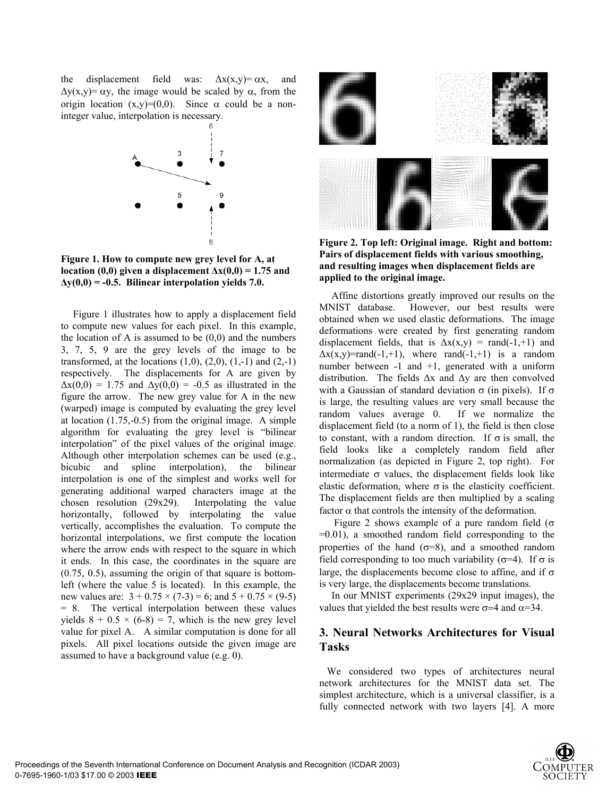the displacement field was:  $\Delta x(x,y) = \alpha x$ , and  $\Delta y(x,y) = \alpha y$ , the image would be scaled by  $\alpha$ , from the origin location  $(x,y)=(0,0)$ . Since  $\alpha$  could be a noninteger value, interpolation is necessary.



**Figure 1. How to compute new grey level for A, at location (0,0) given a displacement**  $\Delta x(0,0) = 1.75$  **and ∆y(0,0) = -0.5. Bilinear interpolation yields 7.0.** 

Figure 1 illustrates how to apply a displacement field to compute new values for each pixel. In this example, the location of A is assumed to be  $(0,0)$  and the numbers 3, 7, 5, 9 are the grey levels of the image to be transformed, at the locations  $(1,0)$ ,  $(2,0)$ ,  $(1,-1)$  and  $(2,-1)$ respectively. The displacements for A are given by  $\Delta x(0,0) = 1.75$  and  $\Delta y(0,0) = -0.5$  as illustrated in the figure the arrow. The new grey value for A in the new (warped) image is computed by evaluating the grey level at location (1.75,-0.5) from the original image. A simple algorithm for evaluating the grey level is "bilinear interpolation" of the pixel values of the original image. Although other interpolation schemes can be used (e.g., bicubic and spline interpolation), the bilinear interpolation is one of the simplest and works well for generating additional warped characters image at the chosen resolution (29x29). Interpolating the value horizontally, followed by interpolating the value vertically, accomplishes the evaluation. To compute the horizontal interpolations, we first compute the location where the arrow ends with respect to the square in which it ends. In this case, the coordinates in the square are (0.75, 0.5), assuming the origin of that square is bottomleft (where the value 5 is located). In this example, the new values are:  $3 + 0.75 \times (7-3) = 6$ ; and  $5 + 0.75 \times (9-5)$ = 8. The vertical interpolation between these values yields  $8 + 0.5 \times (6-8) = 7$ , which is the new grey level value for pixel A. A similar computation is done for all pixels. All pixel locations outside the given image are assumed to have a background value (e.g. 0).



**Figure 2. Top left: Original image. Right and bottom: Pairs of displacement fields with various smoothing, and resulting images when displacement fields are applied to the original image.** 

Affine distortions greatly improved our results on the MNIST database. However, our best results were obtained when we used elastic deformations. The image deformations were created by first generating random displacement fields, that is  $\Delta x(x,y) = \text{rand}(-1,+1)$  and  $\Delta x(x,y)$ =rand(-1,+1), where rand(-1,+1) is a random number between  $-1$  and  $+1$ , generated with a uniform distribution. The fields ∆x and ∆y are then convolved with a Gaussian of standard deviation  $\sigma$  (in pixels). If  $\sigma$ is large, the resulting values are very small because the random values average 0. If we normalize the displacement field (to a norm of 1), the field is then close to constant, with a random direction. If  $\sigma$  is small, the field looks like a completely random field after normalization (as depicted in Figure 2, top right). For intermediate  $\sigma$  values, the displacement fields look like elastic deformation, where  $\sigma$  is the elasticity coefficient. The displacement fields are then multiplied by a scaling factor  $\alpha$  that controls the intensity of the deformation.

Figure 2 shows example of a pure random field ( $\sigma$ )  $=0.01$ ), a smoothed random field corresponding to the properties of the hand  $(\sigma=8)$ , and a smoothed random field corresponding to too much variability ( $\sigma$ =4). If  $\sigma$  is large, the displacements become close to affine, and if  $\sigma$ is very large, the displacements become translations.

In our MNIST experiments (29x29 input images), the values that yielded the best results were  $\sigma$ =4 and  $\alpha$ =34.

### **3. Neural Networks Architectures for Visual Tasks**

 We considered two types of architectures neural network architectures for the MNIST data set. The simplest architecture, which is a universal classifier, is a fully connected network with two layers [4]. A more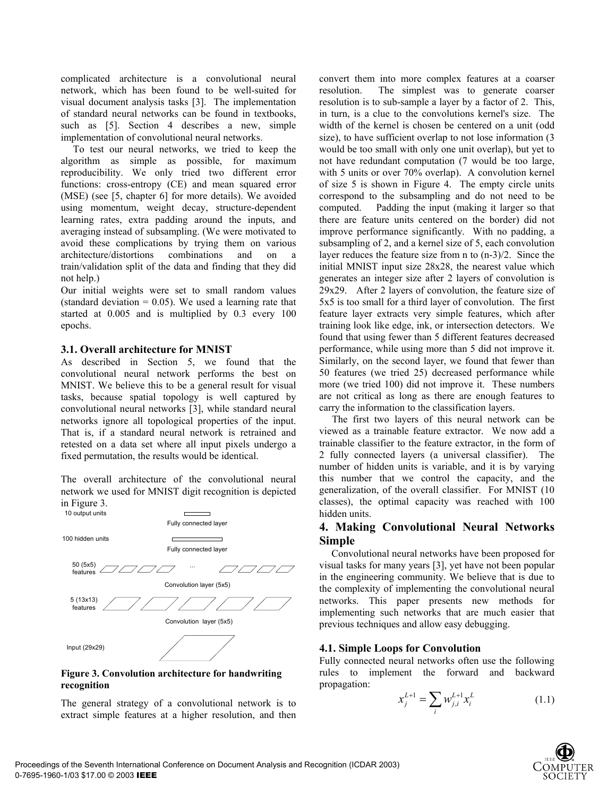complicated architecture is a convolutional neural network, which has been found to be well-suited for visual document analysis tasks [3]. The implementation of standard neural networks can be found in textbooks, such as [5]. Section 4 describes a new, simple implementation of convolutional neural networks.

To test our neural networks, we tried to keep the algorithm as simple as possible, for maximum reproducibility. We only tried two different error functions: cross-entropy (CE) and mean squared error (MSE) (see [5, chapter 6] for more details). We avoided using momentum, weight decay, structure-dependent learning rates, extra padding around the inputs, and averaging instead of subsampling. (We were motivated to avoid these complications by trying them on various architecture/distortions combinations and on a train/validation split of the data and finding that they did not help.)

Our initial weights were set to small random values (standard deviation  $= 0.05$ ). We used a learning rate that started at 0.005 and is multiplied by 0.3 every 100 epochs.

#### **3.1. Overall architecture for MNIST**

As described in Section 5, we found that the convolutional neural network performs the best on MNIST. We believe this to be a general result for visual tasks, because spatial topology is well captured by convolutional neural networks [3], while standard neural networks ignore all topological properties of the input. That is, if a standard neural network is retrained and retested on a data set where all input pixels undergo a fixed permutation, the results would be identical.

The overall architecture of the convolutional neural network we used for MNIST digit recognition is depicted in Figure 3.



#### **Figure 3. Convolution architecture for handwriting recognition**

The general strategy of a convolutional network is to extract simple features at a higher resolution, and then

convert them into more complex features at a coarser resolution. The simplest was to generate coarser resolution is to sub-sample a layer by a factor of 2. This, in turn, is a clue to the convolutions kernel's size. The width of the kernel is chosen be centered on a unit (odd size), to have sufficient overlap to not lose information (3) would be too small with only one unit overlap), but yet to not have redundant computation (7 would be too large, with 5 units or over 70% overlap). A convolution kernel of size 5 is shown in Figure 4. The empty circle units correspond to the subsampling and do not need to be computed. Padding the input (making it larger so that there are feature units centered on the border) did not improve performance significantly. With no padding, a subsampling of 2, and a kernel size of 5, each convolution layer reduces the feature size from n to (n-3)/2. Since the initial MNIST input size 28x28, the nearest value which generates an integer size after 2 layers of convolution is 29x29. After 2 layers of convolution, the feature size of 5x5 is too small for a third layer of convolution. The first feature layer extracts very simple features, which after training look like edge, ink, or intersection detectors. We found that using fewer than 5 different features decreased performance, while using more than 5 did not improve it. Similarly, on the second layer, we found that fewer than 50 features (we tried 25) decreased performance while more (we tried 100) did not improve it. These numbers are not critical as long as there are enough features to carry the information to the classification layers.

 The first two layers of this neural network can be viewed as a trainable feature extractor. We now add a trainable classifier to the feature extractor, in the form of 2 fully connected layers (a universal classifier). The number of hidden units is variable, and it is by varying this number that we control the capacity, and the generalization, of the overall classifier. For MNIST (10 classes), the optimal capacity was reached with 100 hidden units.

### **4. Making Convolutional Neural Networks Simple**

Convolutional neural networks have been proposed for visual tasks for many years [3], yet have not been popular in the engineering community. We believe that is due to the complexity of implementing the convolutional neural networks. This paper presents new methods for implementing such networks that are much easier that previous techniques and allow easy debugging.

#### **4.1. Simple Loops for Convolution**

Fully connected neural networks often use the following rules to implement the forward and backward propagation:

$$
x_j^{L+1} = \sum_i w_{j,i}^{L+1} x_i^L
$$
 (1.1)

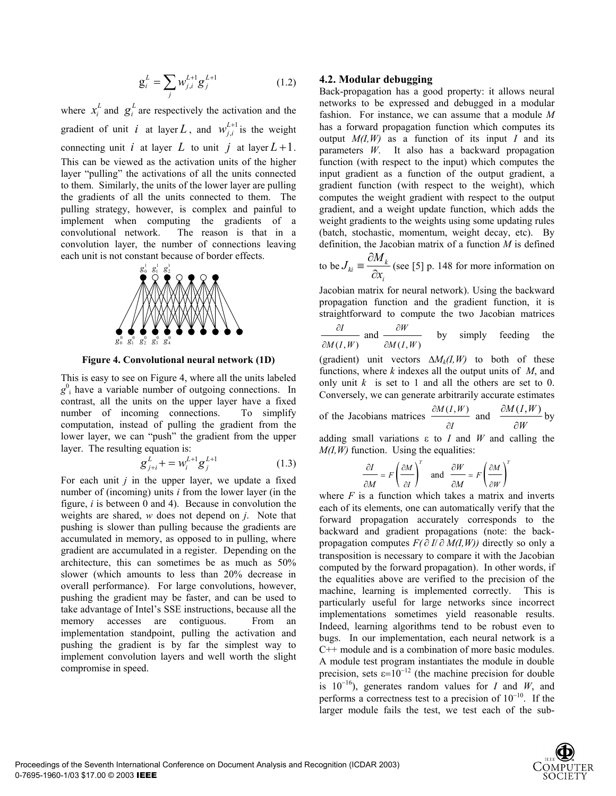$$
g_i^L = \sum_j w_{j,i}^{L+1} g_j^{L+1}
$$
 (1.2)

where  $x_i^L$  and  $g_i^L$  are respectively the activation and the gradient of unit *i* at layer L, and  $w_{j,i}^{L+1}$  $W_{j,i}^{L+1}$  is the weight connecting unit *i* at layer *L* to unit *j* at layer  $L + 1$ . This can be viewed as the activation units of the higher layer "pulling" the activations of all the units connected to them. Similarly, the units of the lower layer are pulling the gradients of all the units connected to them. The pulling strategy, however, is complex and painful to implement when computing the gradients of a convolutional network. The reason is that in a convolution layer, the number of connections leaving each unit is not constant because of border effects.



**Figure 4. Convolutional neural network (1D)**

This is easy to see on Figure 4, where all the units labeled  $g^0$ <sub>i</sub> have a variable number of outgoing connections. In contrast, all the units on the upper layer have a fixed number of incoming connections. To simplify computation, instead of pulling the gradient from the lower layer, we can "push" the gradient from the upper layer. The resulting equation is:

$$
g_{j+i}^L + = w_i^{L+1} g_j^{L+1}
$$
 (1.3)

For each unit *j* in the upper layer, we update a fixed number of (incoming) units *i* from the lower layer (in the figure, *i* is between 0 and 4). Because in convolution the weights are shared, *w* does not depend on *j*. Note that pushing is slower than pulling because the gradients are accumulated in memory, as opposed to in pulling, where gradient are accumulated in a register. Depending on the architecture, this can sometimes be as much as 50% slower (which amounts to less than 20% decrease in overall performance). For large convolutions, however, pushing the gradient may be faster, and can be used to take advantage of Intel's SSE instructions, because all the memory accesses are contiguous. From an implementation standpoint, pulling the activation and pushing the gradient is by far the simplest way to implement convolution layers and well worth the slight compromise in speed.

#### **4.2. Modular debugging**

Back-propagation has a good property: it allows neural networks to be expressed and debugged in a modular fashion. For instance, we can assume that a module *M* has a forward propagation function which computes its output  $M(I, W)$  as a function of its input *I* and its parameters *W*. It also has a backward propagation function (with respect to the input) which computes the input gradient as a function of the output gradient, a gradient function (with respect to the weight), which computes the weight gradient with respect to the output gradient, and a weight update function, which adds the weight gradients to the weights using some updating rules (batch, stochastic, momentum, weight decay, etc). By definition, the Jacobian matrix of a function *M* is defined

to be 
$$
J_{ki} \equiv \frac{\partial M_k}{\partial x_i}
$$
 (see [5] p. 148 for more information on

Jacobian matrix for neural network). Using the backward propagation function and the gradient function, it is straightforward to compute the two Jacobian matrices

 $(I, W)$   $\partial M(I, W)$  $\frac{I}{I}$  and  $\frac{\partial W}{\partial I}$  $M(I, W)$   $\partial M(I, W)$ ∂*I* ∂  $\partial M(I, W)$  ∂ by simply feeding the

(gradient) unit vectors  $\Delta M_k(I, W)$  to both of these functions, where *k* indexes all the output units of *M*, and only unit  $k$  is set to 1 and all the others are set to 0. Conversely, we can generate arbitrarily accurate estimates

of the Jacobians matrices 
$$
\frac{\partial M(I, W)}{\partial I}
$$
 and  $\frac{\partial M(I, W)}{\partial W}$  by

adding small variations ε to *I* and *W* and calling the *M(I,W)* function. Using the equalities:

$$
\frac{\partial I}{\partial M} = F \left( \frac{\partial M}{\partial I} \right)^T \quad \text{and} \quad \frac{\partial W}{\partial M} = F \left( \frac{\partial M}{\partial W} \right)^T
$$

where  $F$  is a function which takes a matrix and inverts each of its elements, one can automatically verify that the forward propagation accurately corresponds to the backward and gradient propagations (note: the backpropagation computes  $F(\partial I/\partial M(I,W))$  directly so only a transposition is necessary to compare it with the Jacobian computed by the forward propagation). In other words, if the equalities above are verified to the precision of the machine, learning is implemented correctly. This is particularly useful for large networks since incorrect implementations sometimes yield reasonable results. Indeed, learning algorithms tend to be robust even to bugs. In our implementation, each neural network is a C++ module and is a combination of more basic modules. A module test program instantiates the module in double precision, sets  $\varepsilon=10^{-12}$  (the machine precision for double is  $10^{-16}$ ), generates random values for *I* and *W*, and performs a correctness test to a precision of 10−10. If the larger module fails the test, we test each of the sub-

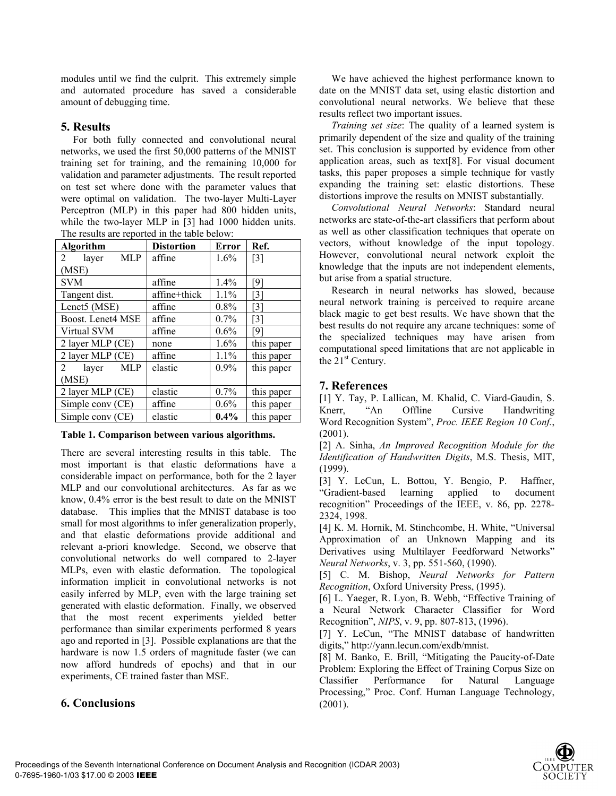modules until we find the culprit. This extremely simple and automated procedure has saved a considerable amount of debugging time.

### **5. Results**

For both fully connected and convolutional neural networks, we used the first 50,000 patterns of the MNIST training set for training, and the remaining 10,000 for validation and parameter adjustments. The result reported on test set where done with the parameter values that were optimal on validation. The two-layer Multi-Layer Perceptron (MLP) in this paper had 800 hidden units, while the two-layer MLP in [3] had 1000 hidden units. The results are reported in the table below:

| Algorithm                      | <b>Distortion</b> | <b>Error</b> | Ref.              |
|--------------------------------|-------------------|--------------|-------------------|
| <b>MLP</b><br>2<br>layer       | affine            | $1.6\%$      | $\lceil 3 \rceil$ |
| (MSE)                          |                   |              |                   |
| <b>SVM</b>                     | affine            | 1.4%         | [9]               |
| Tangent dist.                  | affine+thick      | 1.1%         | [3]               |
| Lenet5 (MSE)                   | affine            | $0.8\%$      | [3]               |
| Boost. Lenet4 MSE              | affine            | 0.7%         | [3]               |
| Virtual SVM                    | affine            | 0.6%         | [9]               |
| 2 layer MLP (CE)               | none              | 1.6%         | this paper        |
| 2 layer MLP (CE)               | affine            | 1.1%         | this paper        |
| $\overline{2}$<br>layer<br>MLP | elastic           | $0.9\%$      | this paper        |
| (MSE)                          |                   |              |                   |
| 2 layer MLP (CE)               | elastic           | 0.7%         | this paper        |
| Simple conv (CE)               | affine            | $0.6\%$      | this paper        |
| Simple conv (CE)               | elastic           | $0.4\%$      | this paper        |

**Table 1. Comparison between various algorithms.**

There are several interesting results in this table. The most important is that elastic deformations have a considerable impact on performance, both for the 2 layer MLP and our convolutional architectures. As far as we know, 0.4% error is the best result to date on the MNIST database. This implies that the MNIST database is too small for most algorithms to infer generalization properly, and that elastic deformations provide additional and relevant a-priori knowledge. Second, we observe that convolutional networks do well compared to 2-layer MLPs, even with elastic deformation. The topological information implicit in convolutional networks is not easily inferred by MLP, even with the large training set generated with elastic deformation. Finally, we observed that the most recent experiments yielded better performance than similar experiments performed 8 years ago and reported in [3]. Possible explanations are that the hardware is now 1.5 orders of magnitude faster (we can now afford hundreds of epochs) and that in our experiments, CE trained faster than MSE.

## **6. Conclusions**

We have achieved the highest performance known to date on the MNIST data set, using elastic distortion and convolutional neural networks. We believe that these results reflect two important issues.

*Training set size*: The quality of a learned system is primarily dependent of the size and quality of the training set. This conclusion is supported by evidence from other application areas, such as text[8]. For visual document tasks, this paper proposes a simple technique for vastly expanding the training set: elastic distortions. These distortions improve the results on MNIST substantially.

*Convolutional Neural Networks*: Standard neural networks are state-of-the-art classifiers that perform about as well as other classification techniques that operate on vectors, without knowledge of the input topology. However, convolutional neural network exploit the knowledge that the inputs are not independent elements, but arise from a spatial structure.

Research in neural networks has slowed, because neural network training is perceived to require arcane black magic to get best results. We have shown that the best results do not require any arcane techniques: some of the specialized techniques may have arisen from computational speed limitations that are not applicable in the  $21<sup>st</sup>$  Century.

### **7. References**

[1] Y. Tay, P. Lallican, M. Khalid, C. Viard-Gaudin, S. Knerr, "An Offline Cursive Handwriting Word Recognition System", *Proc. IEEE Region 10 Conf.*, (2001).

[2] A. Sinha, *An Improved Recognition Module for the Identification of Handwritten Digits*, M.S. Thesis, MIT, (1999).

[3] Y. LeCun, L. Bottou, Y. Bengio, P. Haffner, "Gradient-based learning applied to document recognition" Proceedings of the IEEE, v. 86, pp. 2278- 2324, 1998.

[4] K. M. Hornik, M. Stinchcombe, H. White, "Universal Approximation of an Unknown Mapping and its Derivatives using Multilayer Feedforward Networks" *Neural Networks*, v. 3, pp. 551-560, (1990).

[5] C. M. Bishop, *Neural Networks for Pattern Recognition*, Oxford University Press, (1995).

[6] L. Yaeger, R. Lyon, B. Webb, "Effective Training of a Neural Network Character Classifier for Word Recognition", *NIPS*, v. 9, pp. 807-813, (1996).

[7] Y. LeCun, "The MNIST database of handwritten digits," http://yann.lecun.com/exdb/mnist.

[8] M. Banko, E. Brill, "Mitigating the Paucity-of-Date Problem: Exploring the Effect of Training Corpus Size on Classifier Performance for Natural Language Processing," Proc. Conf. Human Language Technology, (2001).